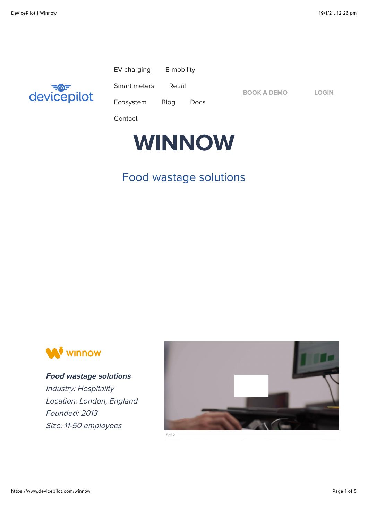

| EV charging | E-mobility |
|-------------|------------|
|-------------|------------|

[Smart meters](https://www.devicepilot.com/smart-meters) [Retail](https://www.devicepilot.com/retail)

[Ecosystem](https://www.devicepilot.com/ecosystem-partners) [Blog](https://www.devicepilot.com/blog) [Docs](https://help.devicepilot.com/)

**[BOOK A DEMO](https://www.devicepilot.com/demo) [LOGIN](https://app.devicepilot.com/%23/user/login)**

[Contact](https://www.devicepilot.com/contact)



## Food wastage solutions



**Food wastage solutions** Industry: Hospitality Location: London, England Founded: 2013 Size: 11-50 employees



**5:22**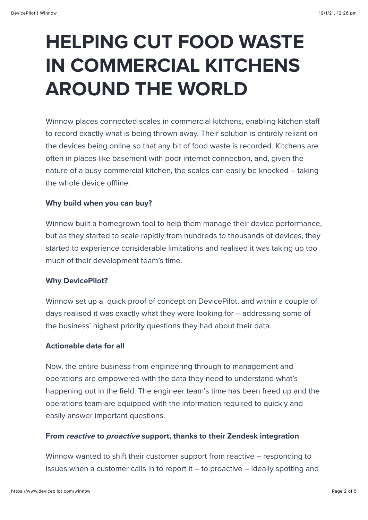# **HELPING CUT FOOD WASTE IN COMMERCIAL KITCHENS AROUND THE WORLD**

Winnow places connected scales in commercial kitchens, enabling kitchen staff to record exactly what is being thrown away. Their solution is entirely reliant on the devices being online so that any bit of food waste is recorded. Kitchens are often in places like basement with poor internet connection, and, given the nature of a busy commercial kitchen, the scales can easily be knocked – taking the whole device offline.

#### **Why build when you can buy?**

Winnow built a homegrown tool to help them manage their device performance, but as they started to scale rapidly from hundreds to thousands of devices, they started to experience considerable limitations and realised it was taking up too much of their development team's time.

#### **Why DevicePilot?**

Winnow set up a quick proof of concept on DevicePilot, and within a couple of days realised it was exactly what they were looking for – addressing some of the business' highest priority questions they had about their data.

#### **Actionable data for all**

Now, the entire business from engineering through to management and operations are empowered with the data they need to understand what's happening out in the field. The engineer team's time has been freed up and the operations team are equipped with the information required to quickly and easily answer important questions.

#### **From reactive to proactive support, thanks to their Zendesk integration**

Winnow wanted to shift their customer support from reactive – responding to issues when a customer calls in to report it – to proactive – ideally spotting and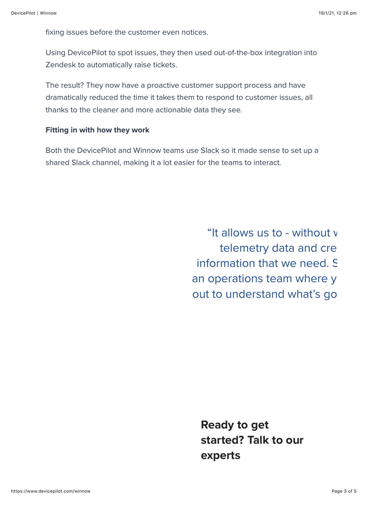fixing issues before the customer even notices.

Using DevicePilot to spot issues, they then used out-of-the-box integration into Zendesk to automatically raise tickets.

The result? They now have a proactive customer support process and have dramatically reduced the time it takes them to respond to customer issues, all thanks to the cleaner and more actionable data they see.

#### **Fitting in with how they work**

Both the DevicePilot and Winnow teams use Slack so it made sense to set up a shared Slack channel, making it a lot easier for the teams to interact.

> "It allows us to - without v telemetry data and cre information that we need. So an operations team where y out to understand what's go

**Ready to get started? Talk to our experts**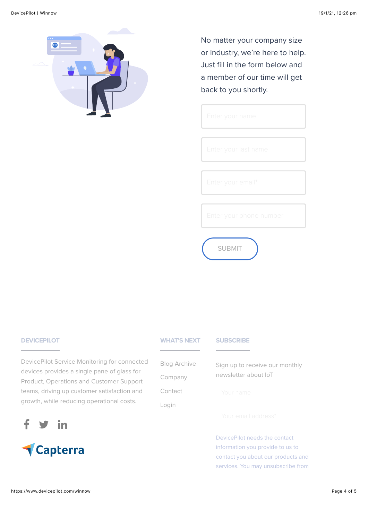

No matter your company size or industry, we're here to help. Just fill in the form below and a member of our time will get back to you shortly.

SUBMIT

### **DEVICEPILOT**

DevicePilot Service Monitoring for connected devices provides a single pane of glass for Product, Operations and Customer Support teams, driving up customer satisfaction and growth, while reducing operational costs.





|  | <b>WHAT'S NEXT</b> |  |  |
|--|--------------------|--|--|
|  |                    |  |  |
|  |                    |  |  |
|  |                    |  |  |

|  | <b>CENT</b> |  |
|--|-------------|--|
|  |             |  |

| <b>Blog Archive</b><br>Company | Sign up to receive our monthly<br>newsletter about IoT |
|--------------------------------|--------------------------------------------------------|
| Contact                        | Your name                                              |
| Login                          |                                                        |

DevicePilot needs the contact information you provide to us to contact you about our products and services. You may unsubscribe from